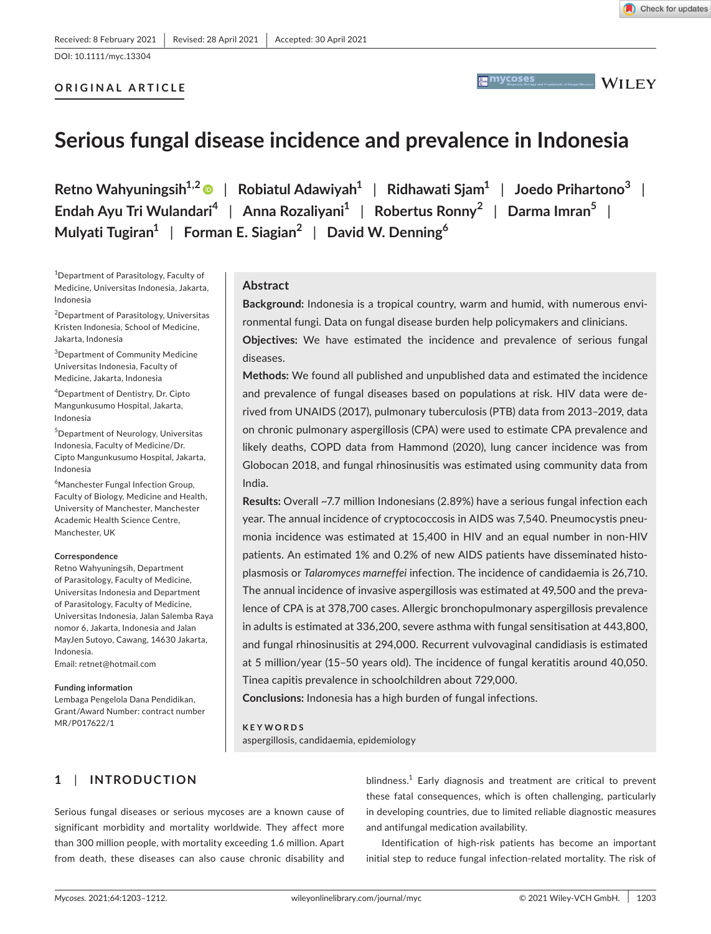DOI: 10.1111/myc.13304

# **ORIGINAL ARTICLE**

**MYCOSES WAS ARRESTED FOR A Prophylaxis of Fungal Diseases WII F.Y** 

# **Serious fungal disease incidence and prevalence in Indonesia**

**Retno Wahyuningsih1,2** | **Robiatul Adawiyah<sup>1</sup>** | **Ridhawati Sjam<sup>1</sup>** | **Joedo Prihartono<sup>3</sup>** | **Endah Ayu Tri Wulandari<sup>4</sup>** | **Anna Rozaliyani<sup>1</sup>** | **Robertus Ronny<sup>2</sup>** | **Darma Imran<sup>5</sup>** | **Mulyati Tugiran<sup>1</sup>** | **Forman E. Siagian<sup>2</sup>** | **David W. Denning<sup>6</sup>**

1 Department of Parasitology, Faculty of Medicine, Universitas Indonesia, Jakarta, Indonesia

2 Department of Parasitology, Universitas Kristen Indonesia, School of Medicine, Jakarta, Indonesia

3 Department of Community Medicine Universitas Indonesia, Faculty of Medicine, Jakarta, Indonesia

4 Department of Dentistry, Dr. Cipto Mangunkusumo Hospital, Jakarta, Indonesia

5 Department of Neurology, Universitas Indonesia, Faculty of Medicine/Dr. Cipto Mangunkusumo Hospital, Jakarta, Indonesia

6 Manchester Fungal Infection Group, Faculty of Biology, Medicine and Health, University of Manchester, Manchester Academic Health Science Centre, Manchester, UK

#### **Correspondence**

Retno Wahyuningsih, Department of Parasitology, Faculty of Medicine, Universitas Indonesia and Department of Parasitology, Faculty of Medicine, Universitas Indonesia, Jalan Salemba Raya nomor 6, Jakarta, Indonesia and Jalan MayJen Sutoyo, Cawang, 14630 Jakarta, Indonesia.

Email: [retnet@hotmail.com](mailto:retnet@hotmail.com)

#### **Funding information**

Lembaga Pengelola Dana Pendidikan, Grant/Award Number: contract number MR/P017622/1

## **Abstract**

**Background:** Indonesia is a tropical country, warm and humid, with numerous environmental fungi. Data on fungal disease burden help policymakers and clinicians.

**Objectives:** We have estimated the incidence and prevalence of serious fungal diseases.

**Methods:** We found all published and unpublished data and estimated the incidence and prevalence of fungal diseases based on populations at risk. HIV data were derived from UNAIDS (2017), pulmonary tuberculosis (PTB) data from 2013–2019, data on chronic pulmonary aspergillosis (CPA) were used to estimate CPA prevalence and likely deaths, COPD data from Hammond (2020), lung cancer incidence was from Globocan 2018, and fungal rhinosinusitis was estimated using community data from India.

**Results:** Overall ~7.7 million Indonesians (2.89%) have a serious fungal infection each year. The annual incidence of cryptococcosis in AIDS was 7,540. Pneumocystis pneumonia incidence was estimated at 15,400 in HIV and an equal number in non-HIV patients. An estimated 1% and 0.2% of new AIDS patients have disseminated histoplasmosis or *Talaromyces marneffei* infection. The incidence of candidaemia is 26,710. The annual incidence of invasive aspergillosis was estimated at 49,500 and the prevalence of CPA is at 378,700 cases. Allergic bronchopulmonary aspergillosis prevalence in adults is estimated at 336,200, severe asthma with fungal sensitisation at 443,800, and fungal rhinosinusitis at 294,000. Recurrent vulvovaginal candidiasis is estimated at 5 million/year (15–50 years old). The incidence of fungal keratitis around 40,050. Tinea capitis prevalence in schoolchildren about 729,000.

**Conclusions:** Indonesia has a high burden of fungal infections.

#### **KEYWORDS** aspergillosis, candidaemia, epidemiology

# **1**  | **INTRODUCTION**

Serious fungal diseases or serious mycoses are a known cause of significant morbidity and mortality worldwide. They affect more than 300 million people, with mortality exceeding 1.6 million. Apart from death, these diseases can also cause chronic disability and

blindness.<sup>1</sup> Early diagnosis and treatment are critical to prevent these fatal consequences, which is often challenging, particularly in developing countries, due to limited reliable diagnostic measures and antifungal medication availability.

Identification of high-risk patients has become an important initial step to reduce fungal infection-related mortality. The risk of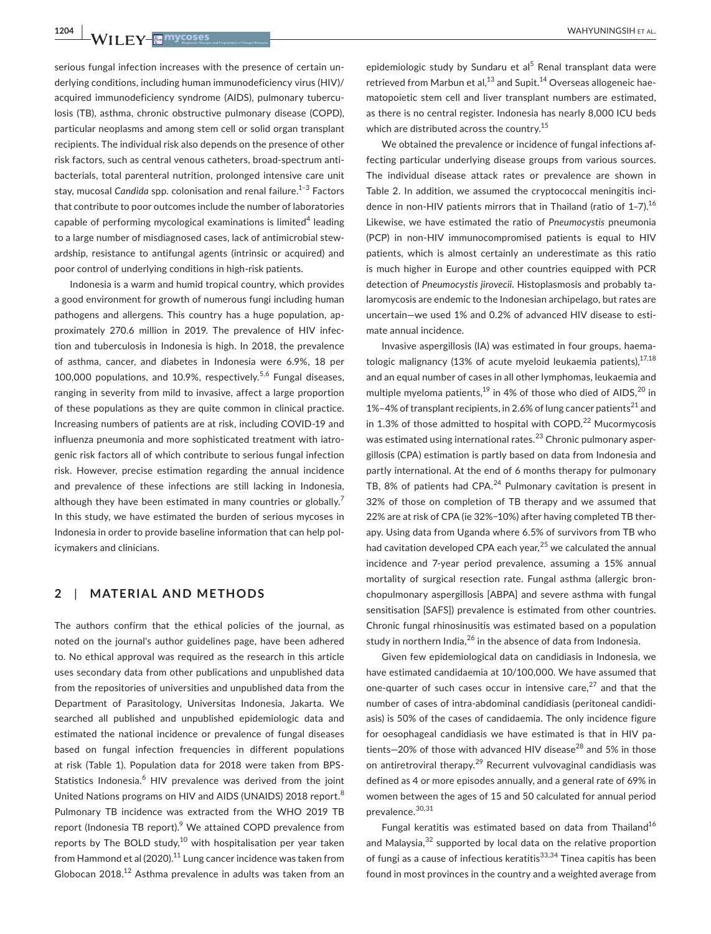serious fungal infection increases with the presence of certain underlying conditions, including human immunodeficiency virus (HIV)/ acquired immunodeficiency syndrome (AIDS), pulmonary tuberculosis (TB), asthma, chronic obstructive pulmonary disease (COPD), particular neoplasms and among stem cell or solid organ transplant recipients. The individual risk also depends on the presence of other risk factors, such as central venous catheters, broad-spectrum antibacterials, total parenteral nutrition, prolonged intensive care unit stay, mucosal *Candida* spp. colonisation and renal failure.<sup>1–3</sup> Factors that contribute to poor outcomes include the number of laboratories capable of performing mycological examinations is limited<sup>4</sup> leading to a large number of misdiagnosed cases, lack of antimicrobial stewardship, resistance to antifungal agents (intrinsic or acquired) and poor control of underlying conditions in high-risk patients.

Indonesia is a warm and humid tropical country, which provides a good environment for growth of numerous fungi including human pathogens and allergens. This country has a huge population, approximately 270.6 million in 2019. The prevalence of HIV infection and tuberculosis in Indonesia is high. In 2018, the prevalence of asthma, cancer, and diabetes in Indonesia were 6.9%, 18 per 100,000 populations, and 10.9%, respectively.<sup>5,6</sup> Fungal diseases, ranging in severity from mild to invasive, affect a large proportion of these populations as they are quite common in clinical practice. Increasing numbers of patients are at risk, including COVID-19 and influenza pneumonia and more sophisticated treatment with iatrogenic risk factors all of which contribute to serious fungal infection risk. However, precise estimation regarding the annual incidence and prevalence of these infections are still lacking in Indonesia, although they have been estimated in many countries or globally.<sup>7</sup> In this study, we have estimated the burden of serious mycoses in Indonesia in order to provide baseline information that can help policymakers and clinicians.

# **2**  | **MATERIAL AND METHODS**

The authors confirm that the ethical policies of the journal, as noted on the journal's author guidelines page, have been adhered to. No ethical approval was required as the research in this article uses secondary data from other publications and unpublished data from the repositories of universities and unpublished data from the Department of Parasitology, Universitas Indonesia, Jakarta. We searched all published and unpublished epidemiologic data and estimated the national incidence or prevalence of fungal diseases based on fungal infection frequencies in different populations at risk (Table 1). Population data for 2018 were taken from BPS-Statistics Indonesia.<sup>6</sup> HIV prevalence was derived from the joint United Nations programs on HIV and AIDS (UNAIDS) 2018 report.<sup>8</sup> Pulmonary TB incidence was extracted from the WHO 2019 TB report (Indonesia TB report).<sup>9</sup> We attained COPD prevalence from reports by The BOLD study, $10$  with hospitalisation per year taken from Hammond et al (2020).<sup>11</sup> Lung cancer incidence was taken from Globocan 2018.<sup>12</sup> Asthma prevalence in adults was taken from an

epidemiologic study by Sundaru et al<sup>5</sup> Renal transplant data were retrieved from Marbun et al, $^{13}$  and Supit.<sup>14</sup> Overseas allogeneic haematopoietic stem cell and liver transplant numbers are estimated, as there is no central register. Indonesia has nearly 8,000 ICU beds which are distributed across the country.<sup>15</sup>

We obtained the prevalence or incidence of fungal infections affecting particular underlying disease groups from various sources. The individual disease attack rates or prevalence are shown in Table 2. In addition, we assumed the cryptococcal meningitis incidence in non-HIV patients mirrors that in Thailand (ratio of  $1-7$ ).<sup>16</sup> Likewise, we have estimated the ratio of *Pneumocystis* pneumonia (PCP) in non-HIV immunocompromised patients is equal to HIV patients, which is almost certainly an underestimate as this ratio is much higher in Europe and other countries equipped with PCR detection of *Pneumocystis jirovecii*. Histoplasmosis and probably talaromycosis are endemic to the Indonesian archipelago, but rates are uncertain—we used 1% and 0.2% of advanced HIV disease to estimate annual incidence.

Invasive aspergillosis (IA) was estimated in four groups, haematologic malignancy (13% of acute myeloid leukaemia patients), $17,18$ and an equal number of cases in all other lymphomas, leukaemia and multiple myeloma patients,<sup>19</sup> in 4% of those who died of AIDS,<sup>20</sup> in 1%–4% of transplant recipients, in 2.6% of lung cancer patients<sup>21</sup> and in 1.3% of those admitted to hospital with COPD. $^{22}$  Mucormycosis was estimated using international rates.<sup>23</sup> Chronic pulmonary aspergillosis (CPA) estimation is partly based on data from Indonesia and partly international. At the end of 6 months therapy for pulmonary TB, 8% of patients had CPA. $^{24}$  Pulmonary cavitation is present in 32% of those on completion of TB therapy and we assumed that 22% are at risk of CPA (ie 32%−10%) after having completed TB therapy. Using data from Uganda where 6.5% of survivors from TB who had cavitation developed CPA each year, $25$  we calculated the annual incidence and 7-year period prevalence, assuming a 15% annual mortality of surgical resection rate. Fungal asthma (allergic bronchopulmonary aspergillosis [ABPA] and severe asthma with fungal sensitisation [SAFS]) prevalence is estimated from other countries. Chronic fungal rhinosinusitis was estimated based on a population study in northern India, $^{26}$  in the absence of data from Indonesia.

Given few epidemiological data on candidiasis in Indonesia, we have estimated candidaemia at 10/100,000. We have assumed that one-quarter of such cases occur in intensive care, $27$  and that the number of cases of intra-abdominal candidiasis (peritoneal candidiasis) is 50% of the cases of candidaemia. The only incidence figure for oesophageal candidiasis we have estimated is that in HIV patients–20% of those with advanced HIV disease $^{28}$  and 5% in those on antiretroviral therapy.29 Recurrent vulvovaginal candidiasis was defined as 4 or more episodes annually, and a general rate of 69% in women between the ages of 15 and 50 calculated for annual period prevalence. 30,31

Fungal keratitis was estimated based on data from Thailand<sup>16</sup> and Malaysia,<sup>32</sup> supported by local data on the relative proportion of fungi as a cause of infectious keratitis $33,34$  Tinea capitis has been found in most provinces in the country and a weighted average from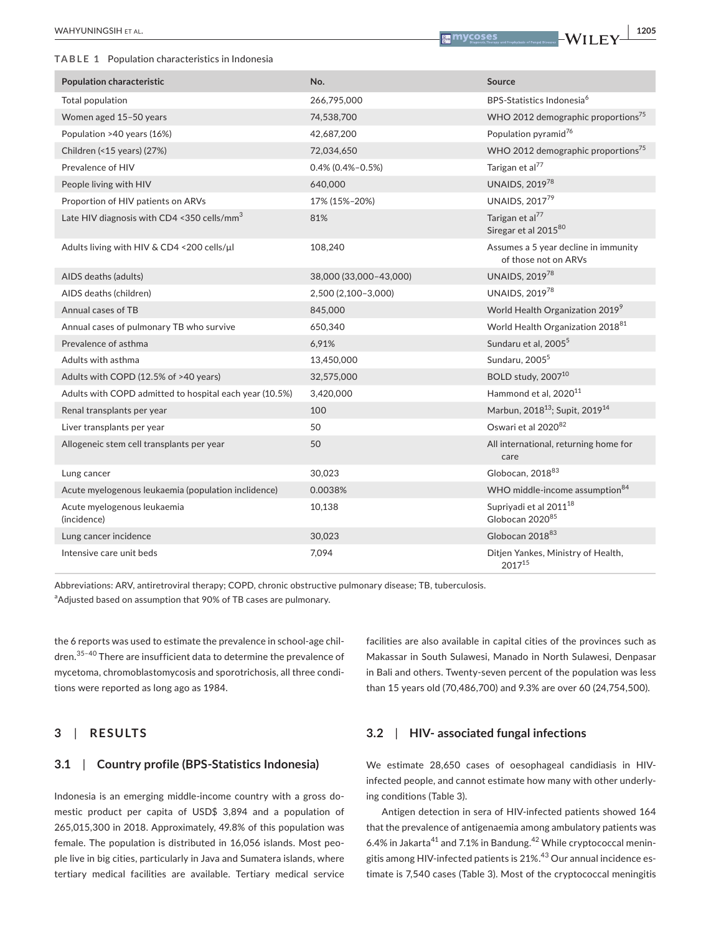**TABLE 1** Population characteristics in Indonesia

| <b>Population characteristic</b>                        | No.                    | <b>Source</b>                                                     |
|---------------------------------------------------------|------------------------|-------------------------------------------------------------------|
| Total population                                        | 266,795,000            | BPS-Statistics Indonesia <sup>6</sup>                             |
| Women aged 15-50 years                                  | 74,538,700             | WHO 2012 demographic proportions <sup>75</sup>                    |
| Population >40 years (16%)                              | 42,687,200             | Population pyramid <sup>76</sup>                                  |
| Children (<15 years) (27%)                              | 72,034,650             | WHO 2012 demographic proportions <sup>75</sup>                    |
| Prevalence of HIV                                       | $0.4\%$ (0.4%-0.5%)    | Tarigan et al <sup>77</sup>                                       |
| People living with HIV                                  | 640,000                | <b>UNAIDS, 201978</b>                                             |
| Proportion of HIV patients on ARVs                      | 17% (15%-20%)          | UNAIDS, 201779                                                    |
| Late HIV diagnosis with CD4 <350 cells/mm <sup>3</sup>  | 81%                    | Tarigan et al <sup>77</sup><br>Siregar et al 201580               |
| Adults living with HIV & CD4 <200 cells/µl              | 108,240                | Assumes a 5 year decline in immunity<br>of those not on ARVs      |
| AIDS deaths (adults)                                    | 38,000 (33,000-43,000) | UNAIDS, 201978                                                    |
| AIDS deaths (children)                                  | 2,500 (2,100-3,000)    | UNAIDS, 201978                                                    |
| Annual cases of TB                                      | 845,000                | World Health Organization 2019 <sup>9</sup>                       |
| Annual cases of pulmonary TB who survive                | 650,340                | World Health Organization 2018 <sup>81</sup>                      |
| Prevalence of asthma                                    | 6,91%                  | Sundaru et al, 2005 <sup>5</sup>                                  |
| Adults with asthma                                      | 13,450,000             | Sundaru, 2005 <sup>5</sup>                                        |
| Adults with COPD (12.5% of >40 years)                   | 32,575,000             | BOLD study, 2007 <sup>10</sup>                                    |
| Adults with COPD admitted to hospital each year (10.5%) | 3,420,000              | Hammond et al, 2020 <sup>11</sup>                                 |
| Renal transplants per year                              | 100                    | Marbun, 2018 <sup>13</sup> ; Supit, 2019 <sup>14</sup>            |
| Liver transplants per year                              | 50                     | Oswari et al 2020 <sup>82</sup>                                   |
| Allogeneic stem cell transplants per year               | 50                     | All international, returning home for<br>care                     |
| Lung cancer                                             | 30,023                 | Globocan, 2018 <sup>83</sup>                                      |
| Acute myelogenous leukaemia (population inclidence)     | 0.0038%                | WHO middle-income assumption <sup>84</sup>                        |
| Acute myelogenous leukaemia<br>(incidence)              | 10,138                 | Supriyadi et al 2011 <sup>18</sup><br>Globocan 2020 <sup>85</sup> |
| Lung cancer incidence                                   | 30,023                 | Globocan 2018 <sup>83</sup>                                       |
| Intensive care unit beds                                | 7,094                  | Ditjen Yankes, Ministry of Health,<br>201715                      |

Abbreviations: ARV, antiretroviral therapy; COPD, chronic obstructive pulmonary disease; TB, tuberculosis.

<sup>a</sup>Adjusted based on assumption that 90% of TB cases are pulmonary.

the 6 reports was used to estimate the prevalence in school-age children.<sup>35-40</sup> There are insufficient data to determine the prevalence of mycetoma, chromoblastomycosis and sporotrichosis, all three conditions were reported as long ago as 1984.

## **3**  | **RESULTS**

# **3.1**  | **Country profile (BPS-Statistics Indonesia)**

Indonesia is an emerging middle-income country with a gross domestic product per capita of USD\$ 3,894 and a population of 265,015,300 in 2018. Approximately, 49.8% of this population was female. The population is distributed in 16,056 islands. Most people live in big cities, particularly in Java and Sumatera islands, where tertiary medical facilities are available. Tertiary medical service

facilities are also available in capital cities of the provinces such as Makassar in South Sulawesi, Manado in North Sulawesi, Denpasar in Bali and others. Twenty-seven percent of the population was less than 15 years old (70,486,700) and 9.3% are over 60 (24,754,500).

## **3.2**  | **HIV- associated fungal infections**

We estimate 28,650 cases of oesophageal candidiasis in HIVinfected people, and cannot estimate how many with other underlying conditions (Table 3).

Antigen detection in sera of HIV-infected patients showed 164 that the prevalence of antigenaemia among ambulatory patients was 6.4% in Jakarta<sup>41</sup> and 7.1% in Bandung.<sup>42</sup> While cryptococcal meningitis among HIV-infected patients is  $21\%$ .<sup>43</sup> Our annual incidence estimate is 7,540 cases (Table 3). Most of the cryptococcal meningitis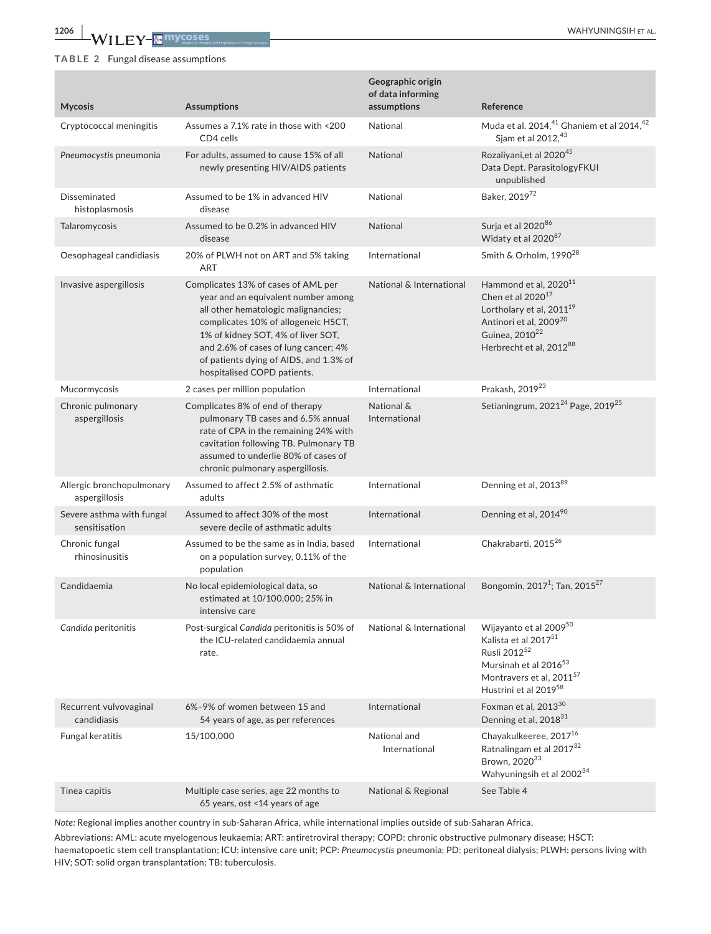### **TABLE 2** Fungal disease assumptions

| <b>Mycosis</b>                             | <b>Assumptions</b>                                                                                                                                                                                                                                                                                              | Geographic origin<br>of data informing<br>assumptions | Reference                                                                                                                                                                                                      |
|--------------------------------------------|-----------------------------------------------------------------------------------------------------------------------------------------------------------------------------------------------------------------------------------------------------------------------------------------------------------------|-------------------------------------------------------|----------------------------------------------------------------------------------------------------------------------------------------------------------------------------------------------------------------|
| Cryptococcal meningitis                    | Assumes a 7.1% rate in those with <200<br>CD4 cells                                                                                                                                                                                                                                                             | National                                              | Muda et al. 2014, <sup>41</sup> Ghaniem et al 2014, <sup>42</sup><br>Sjam et al 2012, 43                                                                                                                       |
| Pneumocystis pneumonia                     | For adults, assumed to cause 15% of all<br>newly presenting HIV/AIDS patients                                                                                                                                                                                                                                   | <b>National</b>                                       | Rozaliyani, et al 2020 <sup>45</sup><br>Data Dept. ParasitologyFKUI<br>unpublished                                                                                                                             |
| Disseminated<br>histoplasmosis             | Assumed to be 1% in advanced HIV<br>disease                                                                                                                                                                                                                                                                     | National                                              | Baker, 201972                                                                                                                                                                                                  |
| Talaromycosis                              | Assumed to be 0.2% in advanced HIV<br>disease                                                                                                                                                                                                                                                                   | National                                              | Surja et al 202086<br>Widaty et al 2020 <sup>87</sup>                                                                                                                                                          |
| Oesophageal candidiasis                    | 20% of PLWH not on ART and 5% taking<br><b>ART</b>                                                                                                                                                                                                                                                              | International                                         | Smith & Orholm, 1990 <sup>28</sup>                                                                                                                                                                             |
| Invasive aspergillosis                     | Complicates 13% of cases of AML per<br>year and an equivalent number among<br>all other hematologic malignancies;<br>complicates 10% of allogeneic HSCT,<br>1% of kidney SOT, 4% of liver SOT,<br>and 2.6% of cases of lung cancer; 4%<br>of patients dying of AIDS, and 1.3% of<br>hospitalised COPD patients. | National & International                              | Hammond et al, 2020 <sup>11</sup><br>Chen et al $2020^{17}$<br>Lortholary et al, 2011 <sup>19</sup><br>Antinori et al, 2009 <sup>20</sup><br>Guinea, 2010 <sup>22</sup><br>Herbrecht et al, 2012 <sup>88</sup> |
| Mucormycosis                               | 2 cases per million population                                                                                                                                                                                                                                                                                  | International                                         | Prakash, 2019 <sup>23</sup>                                                                                                                                                                                    |
| Chronic pulmonary<br>aspergillosis         | Complicates 8% of end of therapy<br>pulmonary TB cases and 6.5% annual<br>rate of CPA in the remaining 24% with<br>cavitation following TB. Pulmonary TB<br>assumed to underlie 80% of cases of<br>chronic pulmonary aspergillosis.                                                                             | National &<br>International                           | Setianingrum, 2021 <sup>24</sup> Page, 2019 <sup>25</sup>                                                                                                                                                      |
| Allergic bronchopulmonary<br>aspergillosis | Assumed to affect 2.5% of asthmatic<br>adults                                                                                                                                                                                                                                                                   | International                                         | Denning et al, 2013 <sup>89</sup>                                                                                                                                                                              |
| Severe asthma with fungal<br>sensitisation | Assumed to affect 30% of the most<br>severe decile of asthmatic adults                                                                                                                                                                                                                                          | International                                         | Denning et al, 2014 <sup>90</sup>                                                                                                                                                                              |
| Chronic fungal<br>rhinosinusitis           | Assumed to be the same as in India, based<br>on a population survey, 0.11% of the<br>population                                                                                                                                                                                                                 | International                                         | Chakrabarti, 2015 <sup>26</sup>                                                                                                                                                                                |
| Candidaemia                                | No local epidemiological data, so<br>estimated at 10/100,000; 25% in<br>intensive care                                                                                                                                                                                                                          | National & International                              | Bongomin, 2017 <sup>1</sup> ; Tan, 2015 <sup>27</sup>                                                                                                                                                          |
| Candida peritonitis                        | Post-surgical Candida peritonitis is 50% of<br>the ICU-related candidaemia annual<br>rate.                                                                                                                                                                                                                      | National & International                              | Wijayanto et al 200950<br>Kalista et al 2017 <sup>51</sup><br>Rusli 2012 <sup>52</sup><br>Mursinah et al 2016 <sup>53</sup><br>Montravers et al, 2011 <sup>57</sup><br>Hustrini et al 201958                   |
| Recurrent vulvovaginal<br>candidiasis      | 6%-9% of women between 15 and<br>54 years of age, as per references                                                                                                                                                                                                                                             | International                                         | Foxman et al, 2013 <sup>30</sup><br>Denning et al, 2018 <sup>31</sup>                                                                                                                                          |
| Fungal keratitis                           | 15/100,000                                                                                                                                                                                                                                                                                                      | National and<br>International                         | Chayakulkeeree, 2017 <sup>16</sup><br>Ratnalingam et al 2017 <sup>32</sup><br>Brown, 202033<br>Wahyuningsih et al 2002 <sup>34</sup>                                                                           |
| Tinea capitis                              | Multiple case series, age 22 months to<br>65 years, ost <14 years of age                                                                                                                                                                                                                                        | National & Regional                                   | See Table 4                                                                                                                                                                                                    |

*Note:* Regional implies another country in sub-Saharan Africa, while international implies outside of sub-Saharan Africa.

Abbreviations: AML: acute myelogenous leukaemia; ART: antiretroviral therapy; COPD: chronic obstructive pulmonary disease; HSCT: haematopoetic stem cell transplantation; ICU: intensive care unit; PCP: *Pneumocystis* pneumonia; PD: peritoneal dialysis; PLWH: persons living with HIV; SOT: solid organ transplantation; TB: tuberculosis.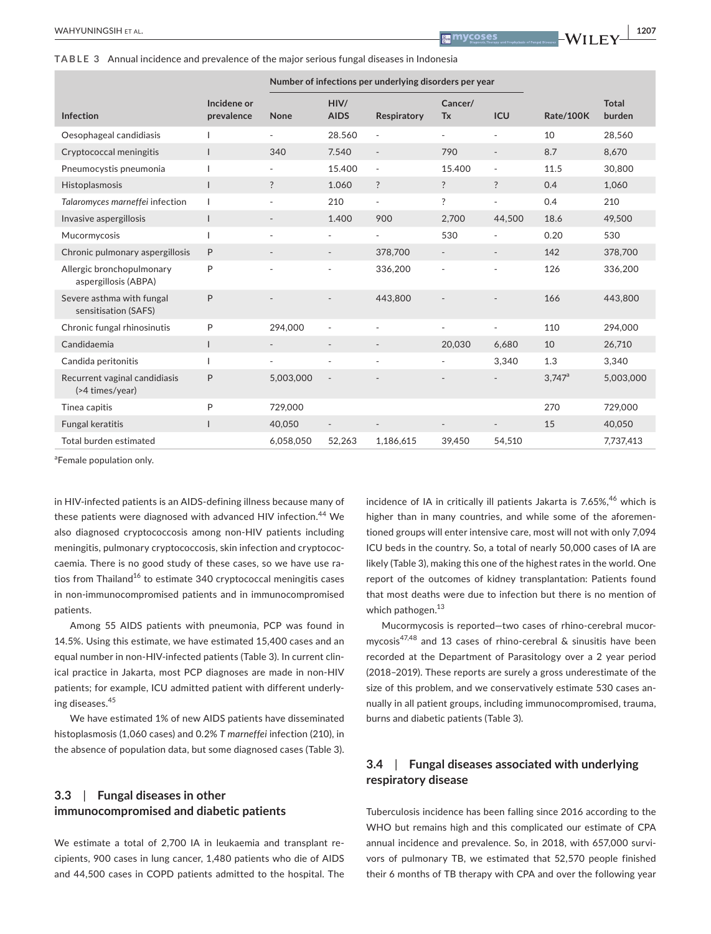**TABLE 3** Annual incidence and prevalence of the major serious fungal diseases in Indonesia

|                                                   |                           | Number of infections per underlying disorders per year |                              |                          |                          |                          |           |                        |
|---------------------------------------------------|---------------------------|--------------------------------------------------------|------------------------------|--------------------------|--------------------------|--------------------------|-----------|------------------------|
| Infection                                         | Incidene or<br>prevalence | None                                                   | HIV/<br><b>AIDS</b>          | Respiratory              | Cancer/<br><b>Tx</b>     | ICU                      | Rate/100K | <b>Total</b><br>burden |
| Oesophageal candidiasis                           |                           | $\overline{\phantom{0}}$                               | 28.560                       | $\overline{\phantom{a}}$ | $\overline{\phantom{0}}$ | ٠                        | 10        | 28,560                 |
| Cryptococcal meningitis                           |                           | 340                                                    | 7.540                        | $\overline{\phantom{a}}$ | 790                      | $\overline{\phantom{a}}$ | 8.7       | 8,670                  |
| Pneumocystis pneumonia                            |                           | $\overline{\phantom{0}}$                               | 15.400                       | $\overline{\phantom{a}}$ | 15.400                   | $\overline{\phantom{m}}$ | 11.5      | 30,800                 |
| Histoplasmosis                                    | $\mathbf{I}$              | ?                                                      | 1.060                        | $\ddot{?}$               | $\ddot{?}$               | $\ddot{?}$               | 0.4       | 1.060                  |
| Talaromyces marneffei infection                   |                           | $\overline{\phantom{a}}$                               | 210                          | $\overline{\phantom{a}}$ | ?                        | $\overline{\phantom{a}}$ | 0.4       | 210                    |
| Invasive aspergillosis                            |                           |                                                        | 1.400                        | 900                      | 2,700                    | 44,500                   | 18.6      | 49,500                 |
| Mucormycosis                                      |                           | $\sim$                                                 | ٠                            | $\overline{\phantom{0}}$ | 530                      |                          | 0.20      | 530                    |
| Chronic pulmonary aspergillosis                   | P                         | $\overline{\phantom{a}}$                               | $\qquad \qquad \blacksquare$ | 378,700                  | $\overline{\phantom{a}}$ |                          | 142       | 378,700                |
| Allergic bronchopulmonary<br>aspergillosis (ABPA) | P                         | $\sim$                                                 | ٠                            | 336,200                  | $\sim$                   |                          | 126       | 336,200                |
| Severe asthma with fungal<br>sensitisation (SAFS) | P                         |                                                        |                              | 443,800                  |                          |                          | 166       | 443,800                |
| Chronic fungal rhinosinutis                       | P                         | 294.000                                                | ÷.                           | $\overline{a}$           | $\sim$                   | ٠                        | 110       | 294.000                |
| Candidaemia                                       |                           | $\overline{\phantom{a}}$                               | $\qquad \qquad \blacksquare$ | $\overline{\phantom{a}}$ | 20,030                   | 6,680                    | 10        | 26,710                 |
| Candida peritonitis                               |                           | $\sim$                                                 | $\overline{\phantom{a}}$     | $\overline{\phantom{a}}$ |                          | 3,340                    | 1.3       | 3,340                  |
| Recurrent vaginal candidiasis<br>(>4 times/year)  | P                         | 5,003,000                                              | $\overline{\phantom{a}}$     |                          |                          |                          | $3,747^a$ | 5,003,000              |
| Tinea capitis                                     | P                         | 729,000                                                |                              |                          |                          |                          | 270       | 729,000                |
| Fungal keratitis                                  |                           | 40,050                                                 |                              |                          |                          |                          | 15        | 40,050                 |
| Total burden estimated                            |                           | 6,058,050                                              | 52,263                       | 1,186,615                | 39.450                   | 54,510                   |           | 7,737,413              |

<sup>a</sup>Female population only.

in HIV-infected patients is an AIDS-defining illness because many of these patients were diagnosed with advanced HIV infection.<sup>44</sup> We also diagnosed cryptococcosis among non-HIV patients including meningitis, pulmonary cryptococcosis, skin infection and cryptococcaemia. There is no good study of these cases, so we have use ratios from Thailand<sup>16</sup> to estimate 340 cryptococcal meningitis cases in non-immunocompromised patients and in immunocompromised patients.

Among 55 AIDS patients with pneumonia, PCP was found in 14.5%. Using this estimate, we have estimated 15,400 cases and an equal number in non-HIV-infected patients (Table 3). In current clinical practice in Jakarta, most PCP diagnoses are made in non-HIV patients; for example, ICU admitted patient with different underlying diseases.<sup>45</sup>

We have estimated 1% of new AIDS patients have disseminated histoplasmosis (1,060 cases) and 0.2% *T marneffei* infection (210), in the absence of population data, but some diagnosed cases (Table 3).

# **3.3**  | **Fungal diseases in other immunocompromised and diabetic patients**

We estimate a total of 2,700 IA in leukaemia and transplant recipients, 900 cases in lung cancer, 1,480 patients who die of AIDS and 44,500 cases in COPD patients admitted to the hospital. The

incidence of IA in critically ill patients Jakarta is  $7.65\%$ <sup>46</sup> which is higher than in many countries, and while some of the aforementioned groups will enter intensive care, most will not with only 7,094 ICU beds in the country. So, a total of nearly 50,000 cases of IA are likely (Table 3), making this one of the highest rates in the world. One report of the outcomes of kidney transplantation: Patients found that most deaths were due to infection but there is no mention of which pathogen.<sup>13</sup>

Mucormycosis is reported—two cases of rhino-cerebral mucormycosis47,48 and 13 cases of rhino-cerebral & sinusitis have been recorded at the Department of Parasitology over a 2 year period (2018–2019). These reports are surely a gross underestimate of the size of this problem, and we conservatively estimate 530 cases annually in all patient groups, including immunocompromised, trauma, burns and diabetic patients (Table 3).

# **3.4**  | **Fungal diseases associated with underlying respiratory disease**

Tuberculosis incidence has been falling since 2016 according to the WHO but remains high and this complicated our estimate of CPA annual incidence and prevalence. So, in 2018, with 657,000 survivors of pulmonary TB, we estimated that 52,570 people finished their 6 months of TB therapy with CPA and over the following year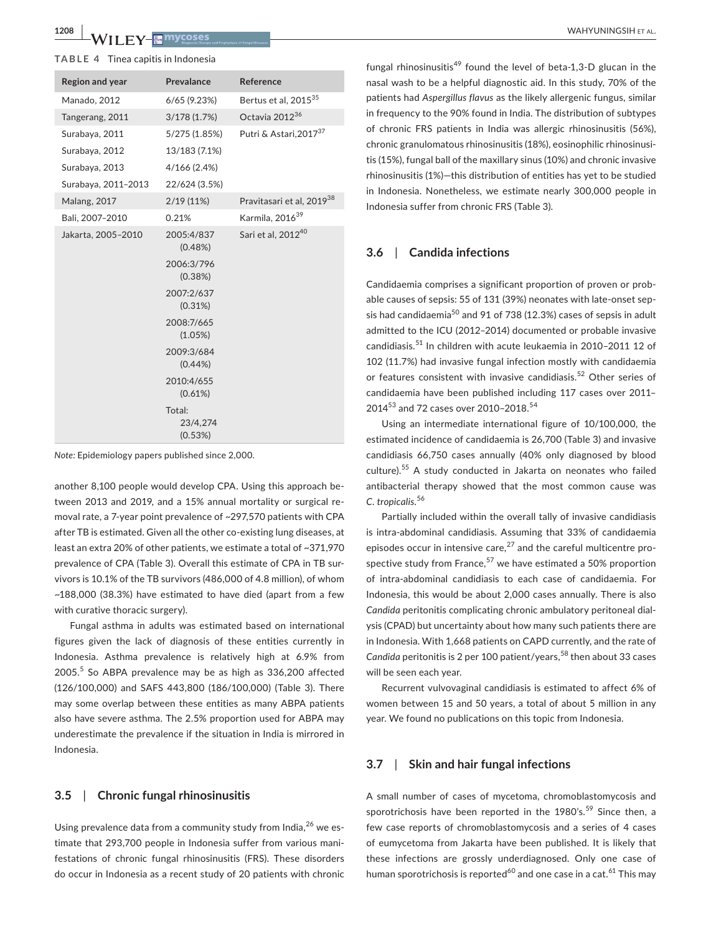#### **TABLE 4** Tinea capitis in Indonesia

| <b>Region and year</b> | Prevalance                    | Reference                             |
|------------------------|-------------------------------|---------------------------------------|
| Manado, 2012           | $6/65$ (9.23%)                | Bertus et al, 2015 <sup>35</sup>      |
| Tangerang, 2011        | 3/178(1.7%)                   | Octavia 2012 <sup>36</sup>            |
| Surabaya, 2011         | 5/275 (1.85%)                 | Putri & Astari, 2017 <sup>37</sup>    |
| Surabaya, 2012         | 13/183 (7.1%)                 |                                       |
| Surabaya, 2013         | 4/166 (2.4%)                  |                                       |
| Surabaya, 2011-2013    | 22/624 (3.5%)                 |                                       |
| <b>Malang, 2017</b>    | $2/19(11\%)$                  | Pravitasari et al, 2019 <sup>38</sup> |
| Bali, 2007-2010        | 0.21%                         | Karmila, 2016 <sup>39</sup>           |
| Jakarta, 2005-2010     | 2005:4/837<br>(0.48%)         | Sari et al, 2012 <sup>40</sup>        |
|                        | 2006:3/796<br>(0.38%)         |                                       |
|                        | 2007:2/637<br>(0.31%)         |                                       |
|                        | 2008:7/665<br>(1.05%)         |                                       |
|                        | 2009:3/684<br>$(0.44\%)$      |                                       |
|                        | 2010:4/655<br>(0.61%)         |                                       |
|                        | Total:<br>23/4,274<br>(0.53%) |                                       |

*Note:* Epidemiology papers published since 2,000.

another 8,100 people would develop CPA. Using this approach between 2013 and 2019, and a 15% annual mortality or surgical removal rate, a 7-year point prevalence of ~297,570 patients with CPA after TB is estimated. Given all the other co-existing lung diseases, at least an extra 20% of other patients, we estimate a total of ~371,970 prevalence of CPA (Table 3). Overall this estimate of CPA in TB survivors is 10.1% of the TB survivors (486,000 of 4.8 million), of whom ~188,000 (38.3%) have estimated to have died (apart from a few with curative thoracic surgery).

Fungal asthma in adults was estimated based on international figures given the lack of diagnosis of these entities currently in Indonesia. Asthma prevalence is relatively high at 6.9% from 2005.<sup>5</sup> So ABPA prevalence may be as high as 336,200 affected (126/100,000) and SAFS 443,800 (186/100,000) (Table 3). There may some overlap between these entities as many ABPA patients also have severe asthma. The 2.5% proportion used for ABPA may underestimate the prevalence if the situation in India is mirrored in Indonesia.

# **3.5**  | **Chronic fungal rhinosinusitis**

Using prevalence data from a community study from India, $^{26}$  we estimate that 293,700 people in Indonesia suffer from various manifestations of chronic fungal rhinosinusitis (FRS). These disorders do occur in Indonesia as a recent study of 20 patients with chronic

fungal rhinosinusitis<sup>49</sup> found the level of beta-1,3-D glucan in the nasal wash to be a helpful diagnostic aid. In this study, 70% of the patients had *Aspergillus flavus* as the likely allergenic fungus, similar in frequency to the 90% found in India. The distribution of subtypes of chronic FRS patients in India was allergic rhinosinusitis (56%), chronic granulomatous rhinosinusitis (18%), eosinophilic rhinosinusitis (15%), fungal ball of the maxillary sinus (10%) and chronic invasive rhinosinusitis (1%)—this distribution of entities has yet to be studied in Indonesia. Nonetheless, we estimate nearly 300,000 people in Indonesia suffer from chronic FRS (Table 3).

# **3.6**  | **Candida infections**

Candidaemia comprises a significant proportion of proven or probable causes of sepsis: 55 of 131 (39%) neonates with late-onset sepsis had candidaemia<sup>50</sup> and 91 of 738 (12.3%) cases of sepsis in adult admitted to the ICU (2012–2014) documented or probable invasive candidiasis.<sup>51</sup> In children with acute leukaemia in 2010-2011 12 of 102 (11.7%) had invasive fungal infection mostly with candidaemia or features consistent with invasive candidiasis.<sup>52</sup> Other series of candidaemia have been published including 117 cases over 2011– 2014<sup>53</sup> and 72 cases over 2010-2018.<sup>54</sup>

Using an intermediate international figure of 10/100,000, the estimated incidence of candidaemia is 26,700 (Table 3) and invasive candidiasis 66,750 cases annually (40% only diagnosed by blood culture).55 A study conducted in Jakarta on neonates who failed antibacterial therapy showed that the most common cause was *C. tropicalis*. 56

Partially included within the overall tally of invasive candidiasis is intra-abdominal candidiasis. Assuming that 33% of candidaemia episodes occur in intensive care, $27$  and the careful multicentre prospective study from France, $57$  we have estimated a 50% proportion of intra-abdominal candidiasis to each case of candidaemia. For Indonesia, this would be about 2,000 cases annually. There is also *Candida* peritonitis complicating chronic ambulatory peritoneal dialysis (CPAD) but uncertainty about how many such patients there are in Indonesia. With 1,668 patients on CAPD currently, and the rate of Candida peritonitis is 2 per 100 patient/years,<sup>58</sup> then about 33 cases will be seen each year.

Recurrent vulvovaginal candidiasis is estimated to affect 6% of women between 15 and 50 years, a total of about 5 million in any year. We found no publications on this topic from Indonesia.

#### **3.7**  | **Skin and hair fungal infections**

A small number of cases of mycetoma, chromoblastomycosis and sporotrichosis have been reported in the 1980's.<sup>59</sup> Since then, a few case reports of chromoblastomycosis and a series of 4 cases of eumycetoma from Jakarta have been published. It is likely that these infections are grossly underdiagnosed. Only one case of human sporotrichosis is reported<sup>60</sup> and one case in a cat.<sup>61</sup> This may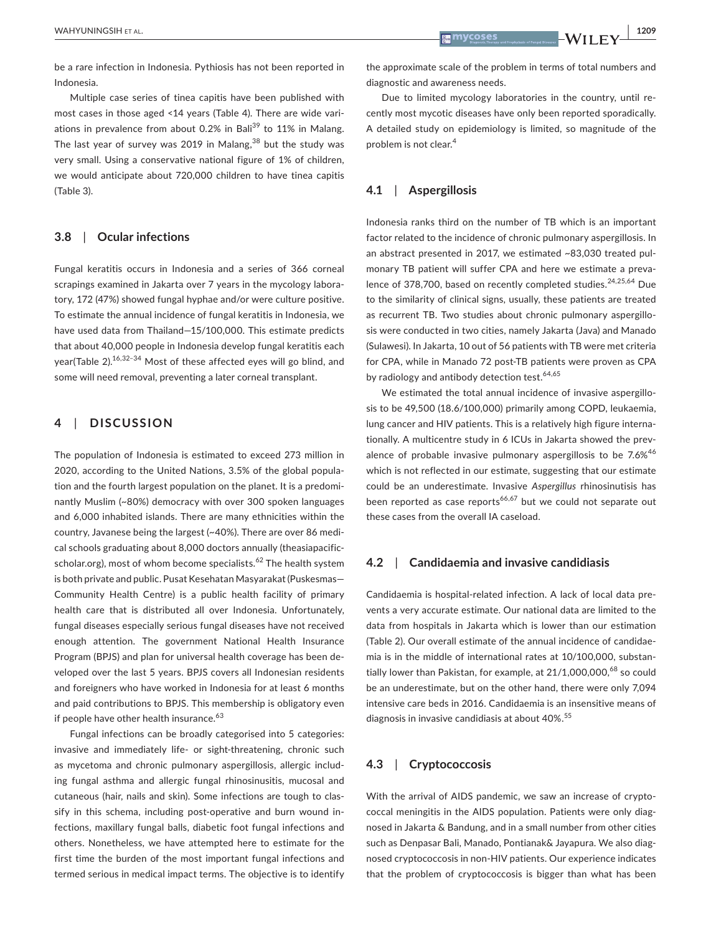be a rare infection in Indonesia. Pythiosis has not been reported in Indonesia.

Multiple case series of tinea capitis have been published with most cases in those aged <14 years (Table 4). There are wide variations in prevalence from about 0.2% in Bali<sup>39</sup> to 11% in Malang. The last year of survey was 2019 in Malang,  $38$  but the study was very small. Using a conservative national figure of 1% of children, we would anticipate about 720,000 children to have tinea capitis (Table 3).

### **3.8**  | **Ocular infections**

Fungal keratitis occurs in Indonesia and a series of 366 corneal scrapings examined in Jakarta over 7 years in the mycology laboratory, 172 (47%) showed fungal hyphae and/or were culture positive. To estimate the annual incidence of fungal keratitis in Indonesia, we have used data from Thailand—15/100,000. This estimate predicts that about 40,000 people in Indonesia develop fungal keratitis each year(Table 2).16,32–34 Most of these affected eyes will go blind, and some will need removal, preventing a later corneal transplant.

### **4**  | **DISCUSSION**

The population of Indonesia is estimated to exceed 273 million in 2020, according to the United Nations, 3.5% of the global population and the fourth largest population on the planet. It is a predominantly Muslim (~80%) democracy with over 300 spoken languages and 6,000 inhabited islands. There are many ethnicities within the country, Javanese being the largest (~40%). There are over 86 medical schools graduating about 8,000 doctors annually (theasiapacificscholar.org), most of whom become specialists.<sup>62</sup> The health system is both private and public. Pusat Kesehatan Masyarakat (Puskesmas— Community Health Centre) is a public health facility of primary health care that is distributed all over Indonesia. Unfortunately, fungal diseases especially serious fungal diseases have not received enough attention. The government National Health Insurance Program (BPJS) and plan for universal health coverage has been developed over the last 5 years. BPJS covers all Indonesian residents and foreigners who have worked in Indonesia for at least 6 months and paid contributions to BPJS. This membership is obligatory even if people have other health insurance.<sup>63</sup>

Fungal infections can be broadly categorised into 5 categories: invasive and immediately life- or sight-threatening, chronic such as mycetoma and chronic pulmonary aspergillosis, allergic including fungal asthma and allergic fungal rhinosinusitis, mucosal and cutaneous (hair, nails and skin). Some infections are tough to classify in this schema, including post-operative and burn wound infections, maxillary fungal balls, diabetic foot fungal infections and others. Nonetheless, we have attempted here to estimate for the first time the burden of the most important fungal infections and termed serious in medical impact terms. The objective is to identify

the approximate scale of the problem in terms of total numbers and diagnostic and awareness needs.

Due to limited mycology laboratories in the country, until recently most mycotic diseases have only been reported sporadically. A detailed study on epidemiology is limited, so magnitude of the problem is not clear.<sup>4</sup>

### **4.1**  | **Aspergillosis**

Indonesia ranks third on the number of TB which is an important factor related to the incidence of chronic pulmonary aspergillosis. In an abstract presented in 2017, we estimated ~83,030 treated pulmonary TB patient will suffer CPA and here we estimate a prevalence of 378,700, based on recently completed studies.<sup>24,25,64</sup> Due to the similarity of clinical signs, usually, these patients are treated as recurrent TB. Two studies about chronic pulmonary aspergillosis were conducted in two cities, namely Jakarta (Java) and Manado (Sulawesi). In Jakarta, 10 out of 56 patients with TB were met criteria for CPA, while in Manado 72 post-TB patients were proven as CPA by radiology and antibody detection test.<sup>64,65</sup>

We estimated the total annual incidence of invasive aspergillosis to be 49,500 (18.6/100,000) primarily among COPD, leukaemia, lung cancer and HIV patients. This is a relatively high figure internationally. A multicentre study in 6 ICUs in Jakarta showed the prevalence of probable invasive pulmonary aspergillosis to be 7.6%<sup>46</sup> which is not reflected in our estimate, suggesting that our estimate could be an underestimate. Invasive *Aspergillus* rhinosinutisis has been reported as case reports<sup>66,67</sup> but we could not separate out these cases from the overall IA caseload.

#### **4.2**  | **Candidaemia and invasive candidiasis**

Candidaemia is hospital-related infection. A lack of local data prevents a very accurate estimate. Our national data are limited to the data from hospitals in Jakarta which is lower than our estimation (Table 2). Our overall estimate of the annual incidence of candidaemia is in the middle of international rates at 10/100,000, substantially lower than Pakistan, for example, at  $21/1,000,000,68$  so could be an underestimate, but on the other hand, there were only 7,094 intensive care beds in 2016. Candidaemia is an insensitive means of diagnosis in invasive candidiasis at about 40%.<sup>55</sup>

# **4.3**  | **Cryptococcosis**

With the arrival of AIDS pandemic, we saw an increase of cryptococcal meningitis in the AIDS population. Patients were only diagnosed in Jakarta & Bandung, and in a small number from other cities such as Denpasar Bali, Manado, Pontianak& Jayapura. We also diagnosed cryptococcosis in non-HIV patients. Our experience indicates that the problem of cryptococcosis is bigger than what has been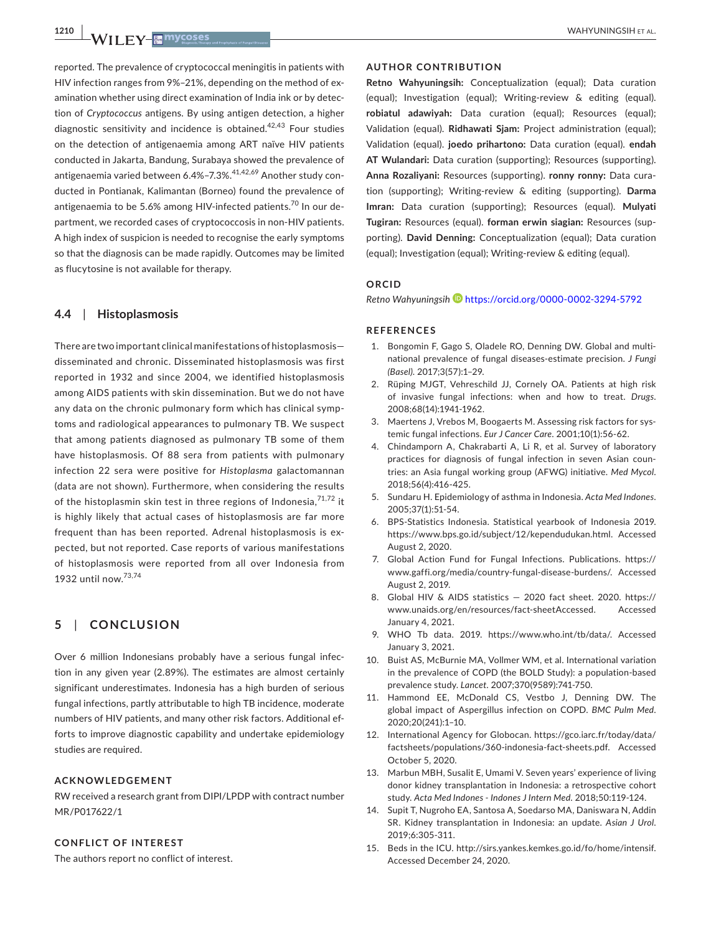reported. The prevalence of cryptococcal meningitis in patients with HIV infection ranges from 9%–21%, depending on the method of examination whether using direct examination of India ink or by detection of *Cryptococcus* antigens. By using antigen detection, a higher diagnostic sensitivity and incidence is obtained.<sup>42,43</sup> Four studies on the detection of antigenaemia among ART naïve HIV patients conducted in Jakarta, Bandung, Surabaya showed the prevalence of antigenaemia varied between 6.4%-7.3%.<sup>41,42,69</sup> Another study conducted in Pontianak, Kalimantan (Borneo) found the prevalence of antigenaemia to be 5.6% among HIV-infected patients.<sup>70</sup> In our department, we recorded cases of cryptococcosis in non-HIV patients. A high index of suspicion is needed to recognise the early symptoms so that the diagnosis can be made rapidly. Outcomes may be limited as flucytosine is not available for therapy.

#### **4.4**  | **Histoplasmosis**

There are two important clinical manifestations of histoplasmosis disseminated and chronic. Disseminated histoplasmosis was first reported in 1932 and since 2004, we identified histoplasmosis among AIDS patients with skin dissemination. But we do not have any data on the chronic pulmonary form which has clinical symptoms and radiological appearances to pulmonary TB. We suspect that among patients diagnosed as pulmonary TB some of them have histoplasmosis. Of 88 sera from patients with pulmonary infection 22 sera were positive for *Histoplasma* galactomannan (data are not shown). Furthermore, when considering the results of the histoplasmin skin test in three regions of Indonesia,  $71,72$  it is highly likely that actual cases of histoplasmosis are far more frequent than has been reported. Adrenal histoplasmosis is expected, but not reported. Case reports of various manifestations of histoplasmosis were reported from all over Indonesia from 1932 until now.73,74

# **5**  | **CONCLUSION**

Over 6 million Indonesians probably have a serious fungal infection in any given year (2.89%). The estimates are almost certainly significant underestimates. Indonesia has a high burden of serious fungal infections, partly attributable to high TB incidence, moderate numbers of HIV patients, and many other risk factors. Additional efforts to improve diagnostic capability and undertake epidemiology studies are required.

#### **ACKNOWLEDGEMENT**

RW received a research grant from DIPI/LPDP with contract number MR/P017622/1

#### **CONFLICT OF INTEREST**

The authors report no conflict of interest.

#### **AUTHOR CONTRIBUTION**

**Retno Wahyuningsih:** Conceptualization (equal); Data curation (equal); Investigation (equal); Writing-review & editing (equal). **robiatul adawiyah:** Data curation (equal); Resources (equal); Validation (equal). **Ridhawati Sjam:** Project administration (equal); Validation (equal). **joedo prihartono:** Data curation (equal). **endah AT Wulandari:** Data curation (supporting); Resources (supporting). **Anna Rozaliyani:** Resources (supporting). **ronny ronny:** Data curation (supporting); Writing-review & editing (supporting). **Darma Imran:** Data curation (supporting); Resources (equal). **Mulyati Tugiran:** Resources (equal). **forman erwin siagian:** Resources (supporting). **David Denning:** Conceptualization (equal); Data curation (equal); Investigation (equal); Writing-review & editing (equal).

## **ORCID**

*Retno Wahyuningsih* <https://orcid.org/0000-0002-3294-5792>

#### **REFERENCES**

- 1. Bongomin F, Gago S, Oladele RO, Denning DW. Global and multinational prevalence of fungal diseases-estimate precision. *J Fungi (Basel)*. 2017;3(57):1–29.
- 2. Rüping MJGT, Vehreschild JJ, Cornely OA. Patients at high risk of invasive fungal infections: when and how to treat. *Drugs*. 2008;68(14):1941-1962.
- 3. Maertens J, Vrebos M, Boogaerts M. Assessing risk factors for systemic fungal infections. *Eur J Cancer Care*. 2001;10(1):56-62.
- 4. Chindamporn A, Chakrabarti A, Li R, et al. Survey of laboratory practices for diagnosis of fungal infection in seven Asian countries: an Asia fungal working group (AFWG) initiative. *Med Mycol*. 2018;56(4):416-425.
- 5. Sundaru H. Epidemiology of asthma in Indonesia. *Acta Med Indones*. 2005;37(1):51-54.
- 6. BPS-Statistics Indonesia. Statistical yearbook of Indonesia 2019. [https://www.bps.go.id/subject/12/kependudukan.html.](https://www.bps.go.id/subject/12/kependudukan.html) Accessed August 2, 2020.
- 7. Global Action Fund for Fungal Infections. Publications. [https://](https://www.gaffi.org/media/country-fungal-disease-burdens/) [www.gaffi.org/media/country-fungal-disease-burdens/](https://www.gaffi.org/media/country-fungal-disease-burdens/). Accessed August 2, 2019.
- 8. Global HIV & AIDS statistics 2020 fact sheet. 2020. [https://](https://www.unaids.org/en/resources/fact-sheetAccessed) [www.unaids.org/en/resources/fact-sheetAccessed](https://www.unaids.org/en/resources/fact-sheetAccessed). Accessed January 4, 2021.
- 9. WHO Tb data. 2019. <https://www.who.int/tb/data/>. Accessed January 3, 2021.
- 10. Buist AS, McBurnie MA, Vollmer WM, et al. International variation in the prevalence of COPD (the BOLD Study): a population-based prevalence study. *Lancet*. 2007;370(9589):741-750.
- 11. Hammond EE, McDonald CS, Vestbo J, Denning DW. The global impact of Aspergillus infection on COPD. *BMC Pulm Med*. 2020;20(241):1–10.
- 12. International Agency for Globocan. [https://gco.iarc.fr/today/data/](https://gco.iarc.fr/today/data/factsheets/populations/360-indonesia-fact-sheets.pdf) [factsheets/populations/360-indonesia-fact-sheets.pdf](https://gco.iarc.fr/today/data/factsheets/populations/360-indonesia-fact-sheets.pdf). Accessed October 5, 2020.
- 13. Marbun MBH, Susalit E, Umami V. Seven years' experience of living donor kidney transplantation in Indonesia: a retrospective cohort study. *Acta Med Indones - Indones J Intern Med*. 2018;50:119-124.
- 14. Supit T, Nugroho EA, Santosa A, Soedarso MA, Daniswara N, Addin SR. Kidney transplantation in Indonesia: an update. *Asian J Urol*. 2019;6:305-311.
- 15. Beds in the ICU. [http://sirs.yankes.kemkes.go.id/fo/home/intensif.](http://sirs.yankes.kemkes.go.id/fo/home/intensif) Accessed December 24, 2020.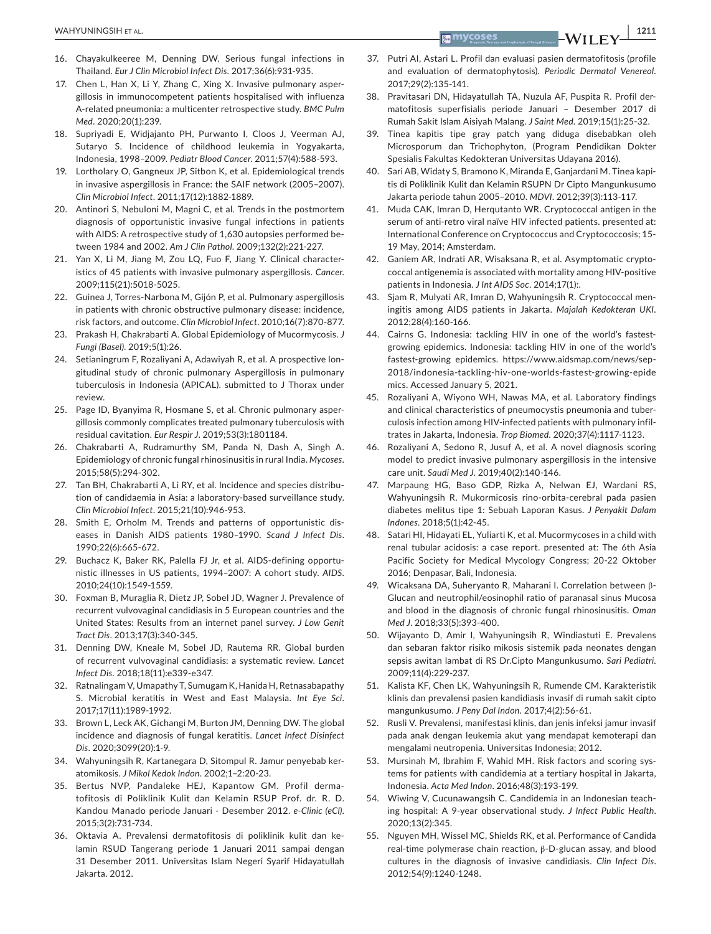- 16. Chayakulkeeree M, Denning DW. Serious fungal infections in Thailand. *Eur J Clin Microbiol Infect Dis*. 2017;36(6):931-935.
- 17. Chen L, Han X, Li Y, Zhang C, Xing X. Invasive pulmonary aspergillosis in immunocompetent patients hospitalised with influenza A-related pneumonia: a multicenter retrospective study. *BMC Pulm Med*. 2020;20(1):239.
- 18. Supriyadi E, Widjajanto PH, Purwanto I, Cloos J, Veerman AJ, Sutaryo S. Incidence of childhood leukemia in Yogyakarta, Indonesia, 1998–2009. *Pediatr Blood Cancer*. 2011;57(4):588-593.
- 19. Lortholary O, Gangneux JP, Sitbon K, et al. Epidemiological trends in invasive aspergillosis in France: the SAIF network (2005–2007). *Clin Microbiol Infect*. 2011;17(12):1882-1889.
- 20. Antinori S, Nebuloni M, Magni C, et al. Trends in the postmortem diagnosis of opportunistic invasive fungal infections in patients with AIDS: A retrospective study of 1,630 autopsies performed between 1984 and 2002. *Am J Clin Pathol*. 2009;132(2):221-227.
- 21. Yan X, Li M, Jiang M, Zou LQ, Fuo F, Jiang Y. Clinical characteristics of 45 patients with invasive pulmonary aspergillosis. *Cancer*. 2009;115(21):5018-5025.
- 22. Guinea J, Torres-Narbona M, Gijón P, et al. Pulmonary aspergillosis in patients with chronic obstructive pulmonary disease: incidence, risk factors, and outcome. *Clin Microbiol Infect*. 2010;16(7):870-877.
- 23. Prakash H, Chakrabarti A. Global Epidemiology of Mucormycosis. *J Fungi (Basel)*. 2019;5(1):26.
- 24. Setianingrum F, Rozaliyani A, Adawiyah R, et al. A prospective longitudinal study of chronic pulmonary Aspergillosis in pulmonary tuberculosis in Indonesia (APICAL). submitted to J Thorax under review.
- 25. Page ID, Byanyima R, Hosmane S, et al. Chronic pulmonary aspergillosis commonly complicates treated pulmonary tuberculosis with residual cavitation. *Eur Respir J*. 2019;53(3):1801184.
- 26. Chakrabarti A, Rudramurthy SM, Panda N, Dash A, Singh A. Epidemiology of chronic fungal rhinosinusitis in rural India. *Mycoses*. 2015;58(5):294-302.
- 27. Tan BH, Chakrabarti A, Li RY, et al. Incidence and species distribution of candidaemia in Asia: a laboratory-based surveillance study. *Clin Microbiol Infect*. 2015;21(10):946-953.
- 28. Smith E, Orholm M. Trends and patterns of opportunistic diseases in Danish AIDS patients 1980–1990. *Scand J Infect Dis*. 1990;22(6):665-672.
- 29. Buchacz K, Baker RK, Palella FJ Jr, et al. AIDS-defining opportunistic illnesses in US patients, 1994–2007: A cohort study. *AIDS*. 2010;24(10):1549-1559.
- 30. Foxman B, Muraglia R, Dietz JP, Sobel JD, Wagner J. Prevalence of recurrent vulvovaginal candidiasis in 5 European countries and the United States: Results from an internet panel survey. *J Low Genit Tract Dis*. 2013;17(3):340-345.
- 31. Denning DW, Kneale M, Sobel JD, Rautema RR. Global burden of recurrent vulvovaginal candidiasis: a systematic review. *Lancet Infect Dis*. 2018;18(11):e339-e347.
- 32. Ratnalingam V, Umapathy T, Sumugam K, Hanida H, Retnasabapathy S. Microbial keratitis in West and East Malaysia. *Int Eye Sci*. 2017;17(11):1989-1992.
- 33. Brown L, Leck AK, Gichangi M, Burton JM, Denning DW. The global incidence and diagnosis of fungal keratitis. *Lancet Infect Disinfect Dis*. 2020;3099(20):1-9.
- 34. Wahyuningsih R, Kartanegara D, Sitompul R. Jamur penyebab keratomikosis. *J Mikol Kedok Indon*. 2002;1–2:20-23.
- 35. Bertus NVP, Pandaleke HEJ, Kapantow GM. Profil dermatofitosis di Poliklinik Kulit dan Kelamin RSUP Prof. dr. R. D. Kandou Manado periode Januari - Desember 2012. *e-Clinic (eCl)*. 2015;3(2):731-734.
- 36. Oktavia A. Prevalensi dermatofitosis di poliklinik kulit dan kelamin RSUD Tangerang periode 1 Januari 2011 sampai dengan 31 Desember 2011. Universitas Islam Negeri Syarif Hidayatullah Jakarta. 2012.
- 37. Putri AI, Astari L. Profil dan evaluasi pasien dermatofitosis (profile and evaluation of dermatophytosis). *Periodic Dermatol Venereol*. 2017;29(2):135-141.
- 38. Pravitasari DN, Hidayatullah TA, Nuzula AF, Puspita R. Profil dermatofitosis superfisialis periode Januari – Desember 2017 di Rumah Sakit Islam Aisiyah Malang. *J Saint Med*. 2019;15(1):25-32.
- 39. Tinea kapitis tipe gray patch yang diduga disebabkan oleh Microsporum dan Trichophyton, (Program Pendidikan Dokter Spesialis Fakultas Kedokteran Universitas Udayana 2016).
- 40. Sari AB, Widaty S, Bramono K, Miranda E, Ganjardani M. Tinea kapitis di Poliklinik Kulit dan Kelamin RSUPN Dr Cipto Mangunkusumo Jakarta periode tahun 2005–2010. *MDVI*. 2012;39(3):113-117.
- 41. Muda CAK, Imran D, Herqutanto WR. Cryptococcal antigen in the serum of anti-retro viral naïve HIV infected patients. presented at: International Conference on Cryptococcus and Cryptococcosis; 15- 19 May, 2014; Amsterdam.
- 42. Ganiem AR, Indrati AR, Wisaksana R, et al. Asymptomatic cryptococcal antigenemia is associated with mortality among HIV-positive patients in Indonesia. *J Int AIDS Soc*. 2014;17(1):.
- 43. Sjam R, Mulyati AR, Imran D, Wahyuningsih R. Cryptococcal meningitis among AIDS patients in Jakarta. *Majalah Kedokteran UKI*. 2012;28(4):160-166.
- 44. Cairns G. Indonesia: tackling HIV in one of the world's fastestgrowing epidemics. Indonesia: tackling HIV in one of the world's fastest-growing epidemics. [https://www.aidsmap.com/news/sep-](https://www.aidsmap.com/news/sep-2018/indonesia-tackling-hiv-one-worlds-fastest-growing-epidemics)[2018/indonesia-tackling-hiv-one-worlds-fastest-growing-epide](https://www.aidsmap.com/news/sep-2018/indonesia-tackling-hiv-one-worlds-fastest-growing-epidemics) [mics](https://www.aidsmap.com/news/sep-2018/indonesia-tackling-hiv-one-worlds-fastest-growing-epidemics). Accessed January 5, 2021.
- 45. Rozaliyani A, Wiyono WH, Nawas MA, et al. Laboratory findings and clinical characteristics of pneumocystis pneumonia and tuberculosis infection among HIV-infected patients with pulmonary infiltrates in Jakarta, Indonesia. *Trop Biomed*. 2020;37(4):1117-1123.
- 46. Rozaliyani A, Sedono R, Jusuf A, et al. A novel diagnosis scoring model to predict invasive pulmonary aspergillosis in the intensive care unit. *Saudi Med J*. 2019;40(2):140-146.
- 47. Marpaung HG, Baso GDP, Rizka A, Nelwan EJ, Wardani RS, Wahyuningsih R. Mukormicosis rino-orbita-cerebral pada pasien diabetes melitus tipe 1: Sebuah Laporan Kasus. *J Penyakit Dalam Indones*. 2018;5(1):42-45.
- 48. Satari HI, Hidayati EL, Yuliarti K, et al. Mucormycoses in a child with renal tubular acidosis: a case report. presented at: The 6th Asia Pacific Society for Medical Mycology Congress; 20-22 Oktober 2016; Denpasar, Bali, Indonesia.
- 49. Wicaksana DA, Suheryanto R, Maharani I. Correlation between β-Glucan and neutrophil/eosinophil ratio of paranasal sinus Mucosa and blood in the diagnosis of chronic fungal rhinosinusitis. *Oman Med J*. 2018;33(5):393-400.
- 50. Wijayanto D, Amir I, Wahyuningsih R, Windiastuti E. Prevalens dan sebaran faktor risiko mikosis sistemik pada neonates dengan sepsis awitan lambat di RS Dr.Cipto Mangunkusumo. *Sari Pediatri*. 2009;11(4):229-237.
- 51. Kalista KF, Chen LK, Wahyuningsih R, Rumende CM. Karakteristik klinis dan prevalensi pasien kandidiasis invasif di rumah sakit cipto mangunkusumo. *J Peny Dal Indon*. 2017;4(2):56-61.
- 52. Rusli V. Prevalensi, manifestasi klinis, dan jenis infeksi jamur invasif pada anak dengan leukemia akut yang mendapat kemoterapi dan mengalami neutropenia. Universitas Indonesia; 2012.
- 53. Mursinah M, Ibrahim F, Wahid MH. Risk factors and scoring systems for patients with candidemia at a tertiary hospital in Jakarta, Indonesia. *Acta Med Indon*. 2016;48(3):193-199.
- 54. Wiwing V, Cucunawangsih C. Candidemia in an Indonesian teaching hospital: A 9-year observational study. *J Infect Public Health*. 2020;13(2):345.
- 55. Nguyen MH, Wissel MC, Shields RK, et al. Performance of Candida real-time polymerase chain reaction, β-D-glucan assay, and blood cultures in the diagnosis of invasive candidiasis. *Clin Infect Dis*. 2012;54(9):1240-1248.